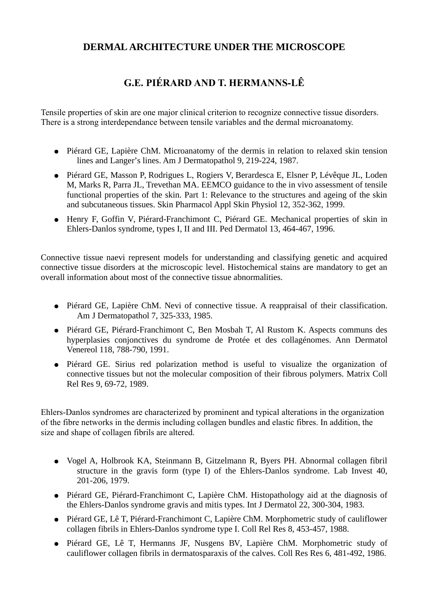## **DERMAL ARCHITECTURE UNDER THE MICROSCOPE**

## **G.E. PIÉRARD AND T. HERMANNS-LÊ**

Tensile properties of skin are one major clinical criterion to recognize connective tissue disorders. There is a strong interdependance between tensile variables and the dermal microanatomy.

- Piérard GE, Lapière ChM. Microanatomy of the dermis in relation to relaxed skin tension lines and Langer's lines. Am J Dermatopathol 9, 219-224, 1987.
- Piérard GE, Masson P, Rodrigues L, Rogiers V, Berardesca E, Elsner P, Lévêque JL, Loden M, Marks R, Parra JL, Trevethan MA. EEMCO guidance to the in vivo assessment of tensile functional properties of the skin. Part 1: Relevance to the structures and ageing of the skin and subcutaneous tissues. Skin Pharmacol Appl Skin Physiol 12, 352-362, 1999.
- Henry F, Goffin V, Piérard-Franchimont C, Piérard GE. Mechanical properties of skin in Ehlers-Danlos syndrome, types I, II and III. Ped Dermatol 13, 464-467, 1996.

Connective tissue naevi represent models for understanding and classifying genetic and acquired connective tissue disorders at the microscopic level. Histochemical stains are mandatory to get an overall information about most of the connective tissue abnormalities.

- Piérard GE, Lapière ChM. Nevi of connective tissue. A reappraisal of their classification. Am J Dermatopathol 7, 325-333, 1985.
- Piérard GE, Piérard-Franchimont C, Ben Mosbah T, Al Rustom K. Aspects communs des hyperplasies conjonctives du syndrome de Protée et des collagénomes. Ann Dermatol Venereol 118, 788-790, 1991.
- Piérard GE. Sirius red polarization method is useful to visualize the organization of connective tissues but not the molecular composition of their fibrous polymers. Matrix Coll Rel Res 9, 69-72, 1989.

Ehlers-Danlos syndromes are characterized by prominent and typical alterations in the organization of the fibre networks in the dermis including collagen bundles and elastic fibres. In addition, the size and shape of collagen fibrils are altered.

- Vogel A, Holbrook KA, Steinmann B, Gitzelmann R, Byers PH. Abnormal collagen fibril structure in the gravis form (type I) of the Ehlers-Danlos syndrome. Lab Invest 40, 201-206, 1979.
- Piérard GE, Piérard-Franchimont C, Lapière ChM. Histopathology aid at the diagnosis of the Ehlers-Danlos syndrome gravis and mitis types. Int J Dermatol 22, 300-304, 1983.
- Piérard GE, Lê T, Piérard-Franchimont C, Lapière ChM. Morphometric study of cauliflower collagen fibrils in Ehlers-Danlos syndrome type I. Coll Rel Res 8, 453-457, 1988.
- Piérard GE, Lê T, Hermanns JF, Nusgens BV, Lapière ChM. Morphometric study of cauliflower collagen fibrils in dermatosparaxis of the calves. Coll Res Res 6, 481-492, 1986.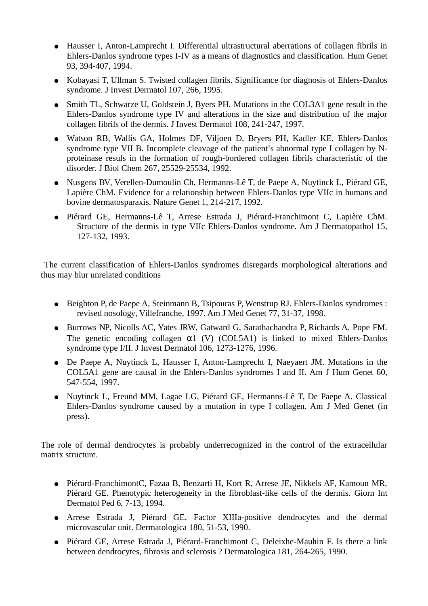- Hausser I, Anton-Lamprecht I. Differential ultrastructural aberrations of collagen fibrils in Ehlers-Danlos syndrome types I-IV as a means of diagnostics and classification. Hum Genet 93, 394-407, 1994.
- Kobayasi T, Ullman S. Twisted collagen fibrils. Significance for diagnosis of Ehlers-Danlos syndrome. J Invest Dermatol 107, 266, 1995.
- Smith TL, Schwarze U, Goldstein J, Byers PH. Mutations in the COL3A1 gene result in the Ehlers-Danlos syndrome type IV and alterations in the size and distribution of the major collagen fibrils of the dermis. J Invest Dermatol 108, 241-247, 1997.
- Watson RB, Wallis GA, Holmes DF, Viljoen D, Bryers PH, Kadler KE. Ehlers-Danlos syndrome type VII B. Incomplete cleavage of the patient's abnormal type I collagen by Nproteinase resuls in the formation of rough-bordered collagen fibrils characteristic of the disorder. J Biol Chem 267, 25529-25534, 1992.
- Nusgens BV, Verellen-Dumoulin Ch, Hermanns-Lê T, de Paepe A, Nuytinck L, Piérard GE, Lapière ChM. Evidence for a relationship between Ehlers-Danlos type VIIc in humans and bovine dermatosparaxis. Nature Genet 1, 214-217, 1992.
- Piérard GE, Hermanns-Lê T, Arrese Estrada J, Piérard-Franchimont C, Lapière ChM. Structure of the dermis in type VIIc Ehlers-Danlos syndrome. Am J Dermatopathol 15, 127-132, 1993.

The current classification of Ehlers-Danlos syndromes disregards morphological alterations and thus may blur unrelated conditions

- Beighton P, de Paepe A, Steinmann B, Tsipouras P, Wenstrup RJ. Ehlers-Danlos syndromes : revised nosology, Villefranche, 1997. Am J Med Genet 77, 31-37, 1998.
- Burrows NP, Nicolls AC, Yates JRW, Gatward G, Sarathachandra P, Richards A, Pope FM. The genetic encoding collagen  $\alpha$ 1 (V) (COL5A1) is linked to mixed Ehlers-Danlos syndrome type I/II. J Invest Dermatol 106, 1273-1276, 1996.
- De Paepe A, Nuytinck L, Hausser I, Anton-Lamprecht I, Naeyaert JM. Mutations in the COL5A1 gene are causal in the Ehlers-Danlos syndromes I and II. Am J Hum Genet 60, 547-554, 1997.
- Nuytinck L, Freund MM, Lagae LG, Piérard GE, Hermanns-Lê T, De Paepe A. Classical Ehlers-Danlos syndrome caused by a mutation in type I collagen. Am J Med Genet (in press).

The role of dermal dendrocytes is probably underrecognized in the control of the extracellular matrix structure.

- Piérard-FranchimontC, Fazaa B, Benzarti H, Kort R, Arrese JE, Nikkels AF, Kamoun MR, Piérard GE. Phenotypic heterogeneity in the fibroblast-like cells of the dermis. Giorn Int Dermatol Ped 6, 7-13, 1994.
- Arrese Estrada J, Piérard GE. Factor XIIIa-positive dendrocytes and the dermal microvascular unit. Dermatologica 180, 51-53, 1990.
- Piérard GE, Arrese Estrada J, Piérard-Franchimont C, Deleixhe-Mauhin F. Is there a link between dendrocytes, fibrosis and sclerosis ? Dermatologica 181, 264-265, 1990.